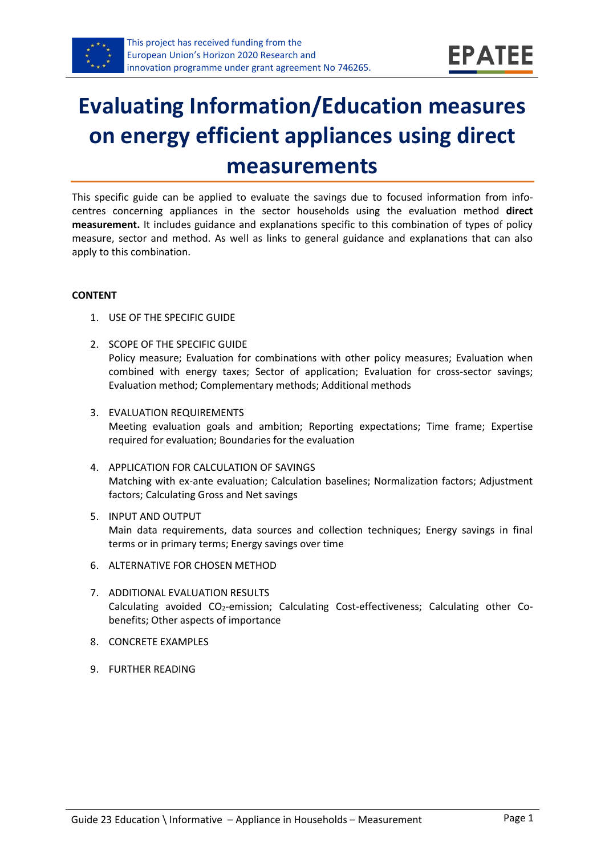

# **Evaluating Information/Education measures on energy efficient appliances using direct measurements**

This specific guide can be applied to evaluate the savings due to focused information from infocentres concerning appliances in the sector households using the evaluation method **direct measurement.** It includes guidance and explanations specific to this combination of types of policy measure, sector and method. As well as links to general guidance and explanations that can also apply to this combination.

#### **CONTENT**

- 1. USE OF THE SPECIFIC GUIDE
- <span id="page-0-1"></span>2. SCOPE OF THE SPECIFIC GUIDE Policy measure; Evaluation for combinations with other policy measures; Evaluation when combined with energy taxes; Sector of application; Evaluation for cross-sector savings; Evaluation method; Complementary methods; Additional methods
- <span id="page-0-2"></span>3. EVALUATION REQUIREMENTS Meeting evaluation goals and ambition; Reporting expectations; Time frame; Expertise required for evaluation; Boundaries for the evaluation
- <span id="page-0-3"></span>4. APPLICATION FOR CALCULATION OF SAVINGS Matching with ex-ante evaluation; Calculation baselines; Normalization factors; Adjustment factors; Calculating Gross and Net savings
- <span id="page-0-4"></span>5. INPUT AND OUTPUT Main data requirements, data sources and collection techniques; Energy savings in final terms or in primary terms; Energy savings over time
- <span id="page-0-0"></span>6. ALTERNATIVE FOR CHOSEN METHOD
- <span id="page-0-5"></span>7. ADDITIONAL EVALUATION RESULTS Calculating avoided CO<sub>2</sub>-emission; Calculating Cost-effectiveness; Calculating other Cobenefits; Other aspects of importance
- <span id="page-0-6"></span>8. CONCRETE EXAMPLES
- <span id="page-0-7"></span>9. FURTHER READING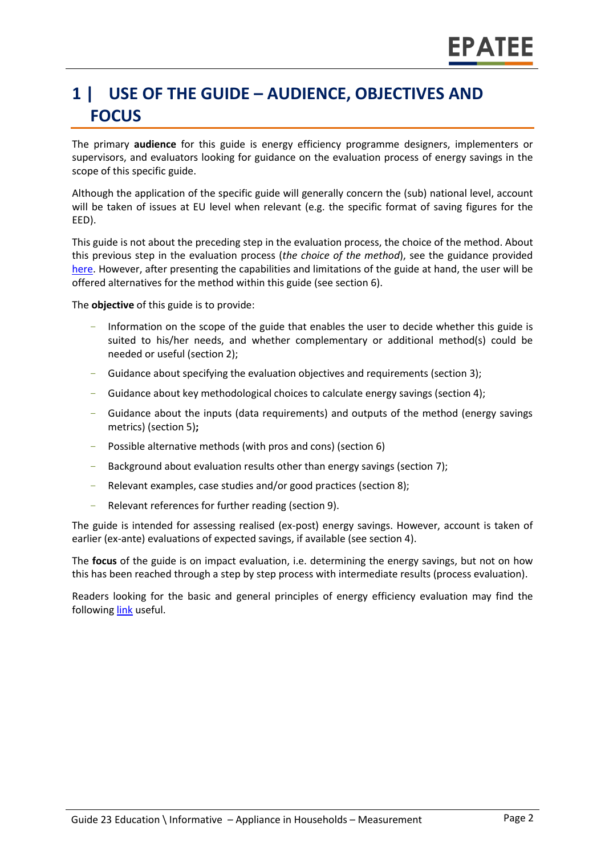## **1 | USE OF THE GUIDE – AUDIENCE, OBJECTIVES AND FOCUS**

The primary **audience** for this guide is energy efficiency programme designers, implementers or supervisors, and evaluators looking for guidance on the evaluation process of energy savings in the scope of this specific guide.

Although the application of the specific guide will generally concern the (sub) national level, account will be taken of issues at EU level when relevant (e.g. the specific format of saving figures for the EED).

This guide is not about the preceding step in the evaluation process, the choice of the method. About this previous step in the evaluation process (*the choice of the method*), see the guidance provided [here.](https://www.epatee-toolbox.eu/wp-content/uploads/2019/04/epatee_integrating_evaluation_into_policy_cycle.pdf) However, after presenting the capabilities and limitations of the guide at hand, the user will be offered alternatives for the method within this guide (see section [6\)](#page-0-0).

The **objective** of this guide is to provide:

- Information on the scope of the guide that enables the user to decide whether this guide is suited to his/her needs, and whether complementary or additional method(s) could be needed or useful (sectio[n 2\)](#page-0-1);
- Guidance about specifying the evaluation objectives and requirements (section [3\)](#page-0-2);
- Guidance about key methodological choices to calculate energy savings (section [4\)](#page-0-3);
- Guidance about the inputs (data requirements) and outputs of the method (energy savings metrics) (sectio[n 5\)](#page-0-4)**;**
- Possible alternative methods (with pros and cons) (section [6\)](#page-0-0)
- Background about evaluation results other than energy savings (sectio[n 7\)](#page-0-5);
- Relevant examples, case studies and/or good practices (section [8\)](#page-0-6);
- Relevant references for further reading (section [9\)](#page-0-7).

The guide is intended for assessing realised (ex-post) energy savings. However, account is taken of earlier (ex-ante) evaluations of expected savings, if available (see section [4\)](#page-0-3).

The **focus** of the guide is on impact evaluation, i.e. determining the energy savings, but not on how this has been reached through a step by step process with intermediate results (process evaluation).

Readers looking for the basic and general principles of energy efficiency evaluation may find the followin[g link](https://www.epatee-toolbox.eu/evaluation-principles-and-methods/) useful.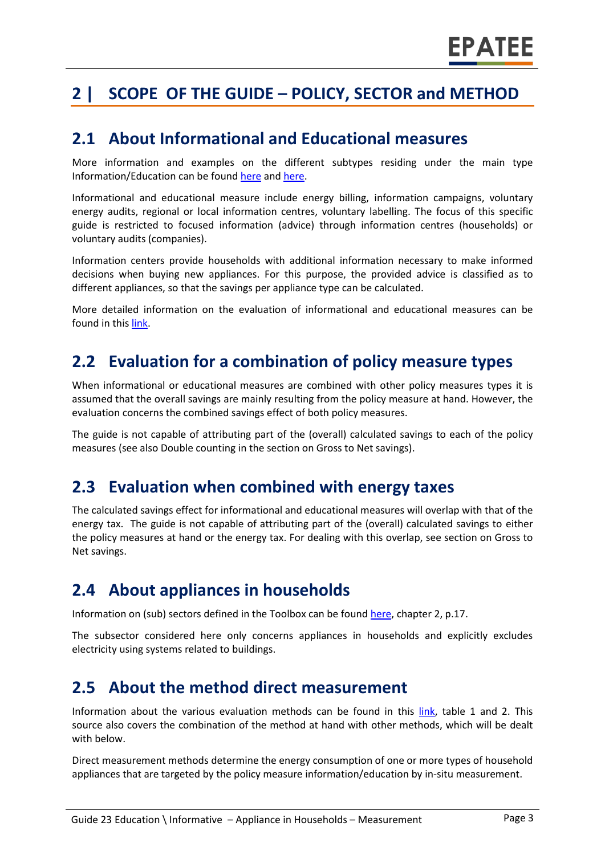## **2 | SCOPE OF THE GUIDE – POLICY, SECTOR and METHOD**

#### **2.1 About Informational and Educational measures**

More information and examples on the different subtypes residing under the main type Information/Education can be foun[d here](http://www.measures-odyssee-mure.eu/) and [here.](https://www.epatee-lib.eu/)

Informational and educational measure include energy billing, information campaigns, voluntary energy audits, regional or local information centres, voluntary labelling. The focus of this specific guide is restricted to focused information (advice) through information centres (households) or voluntary audits (companies).

Information centers provide households with additional information necessary to make informed decisions when buying new appliances. For this purpose, the provided advice is classified as to different appliances, so that the savings per appliance type can be calculated.

More detailed information on the evaluation of informational and educational measures can be found in thi[s link.](https://www.epatee-lib.eu/media/docs/EMEEES_WP2_D1_Assessment_existing_evaluation_2008-04-21.pdf)

#### **2.2 Evaluation for a combination of policy measure types**

When informational or educational measures are combined with other policy measures types it is assumed that the overall savings are mainly resulting from the policy measure at hand. However, the evaluation concerns the combined savings effect of both policy measures.

The guide is not capable of attributing part of the (overall) calculated savings to each of the policy measures (see also Double counting in the section on Gross to Net savings).

#### **2.3 Evaluation when combined with energy taxes**

The calculated savings effect for informational and educational measures will overlap with that of the energy tax. The guide is not capable of attributing part of the (overall) calculated savings to either the policy measures at hand or the energy tax. For dealing with this overlap, see section on Gross to Net savings.

#### **2.4 About appliances in households**

Information on (sub) sectors defined in the Toolbox can be foun[d here,](https://www.epatee-toolbox.eu/wp-content/uploads/2018/10/Definitions-and-typologies-related-to-energy-savings-evaluation.pdf) chapter 2, p.17.

The subsector considered here only concerns appliances in households and explicitly excludes electricity using systems related to buildings.

#### **2.5 About the method direct measurement**

Information about the various evaluation methods can be found in this [link,](https://www.epatee-toolbox.eu/wp-content/uploads/2018/10/Definitions-and-typologies-related-to-energy-savings-evaluation.pdf) table 1 and 2. This source also covers the combination of the method at hand with other methods, which will be dealt with below.

Direct measurement methods determine the energy consumption of one or more types of household appliances that are targeted by the policy measure information/education by in-situ measurement.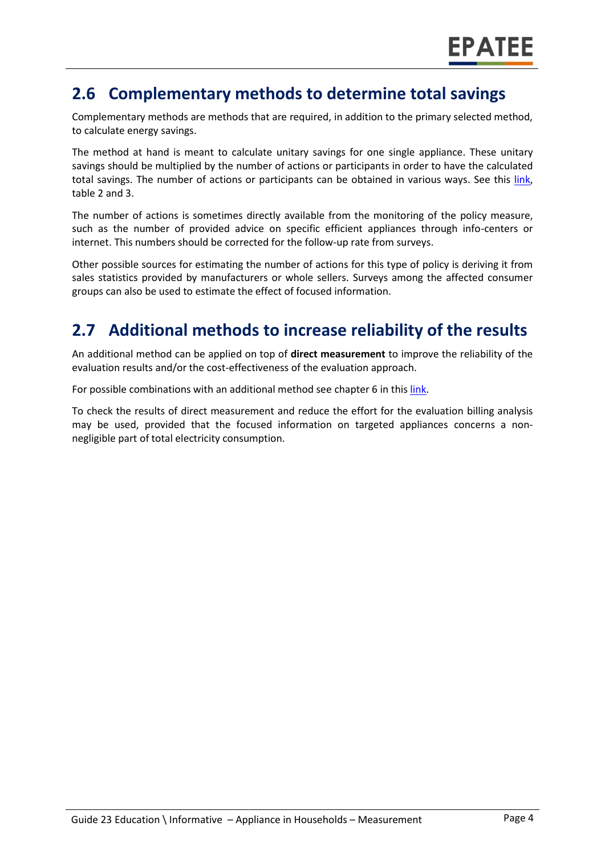### **2.6 Complementary methods to determine total savings**

Complementary methods are methods that are required, in addition to the primary selected method, to calculate energy savings.

The method at hand is meant to calculate unitary savings for one single appliance. These unitary savings should be multiplied by the number of actions or participants in order to have the calculated total savings. The number of actions or participants can be obtained in various ways. See this [link,](https://www.epatee-toolbox.eu/wp-content/uploads/2018/10/Definitions-and-typologies-related-to-energy-savings-evaluation.pdf) table 2 and 3.

The number of actions is sometimes directly available from the monitoring of the policy measure, such as the number of provided advice on specific efficient appliances through info-centers or internet. This numbers should be corrected for the follow-up rate from surveys.

Other possible sources for estimating the number of actions for this type of policy is deriving it from sales statistics provided by manufacturers or whole sellers. Surveys among the affected consumer groups can also be used to estimate the effect of focused information.

## **2.7 Additional methods to increase reliability of the results**

An additional method can be applied on top of **direct measurement** to improve the reliability of the evaluation results and/or the cost-effectiveness of the evaluation approach.

For possible combinations with an additional method see chapter 6 in thi[s link.](https://www.epatee-toolbox.eu/wp-content/uploads/2018/10/Definitions-and-typologies-related-to-energy-savings-evaluation.pdf)

To check the results of direct measurement and reduce the effort for the evaluation billing analysis may be used, provided that the focused information on targeted appliances concerns a nonnegligible part of total electricity consumption.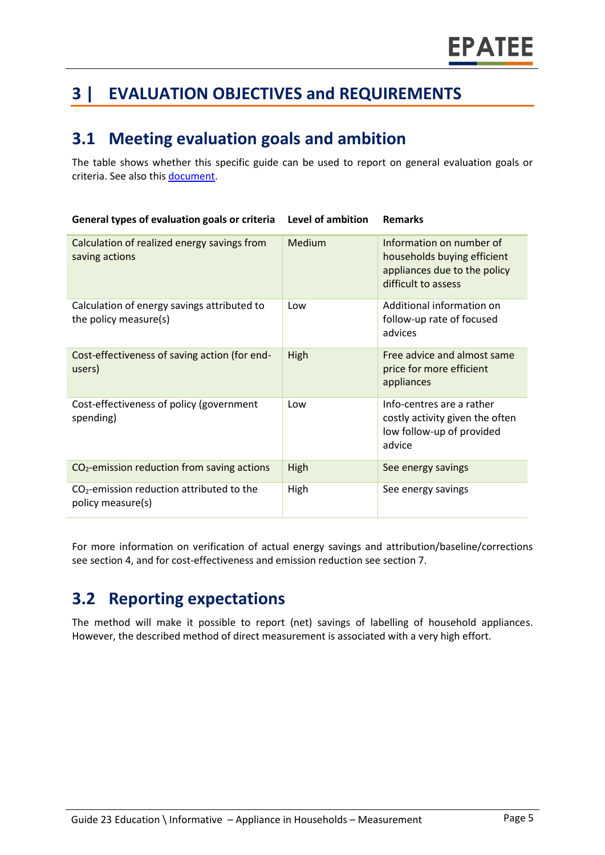## **3 | EVALUATION OBJECTIVES and REQUIREMENTS**

### **3.1 Meeting evaluation goals and ambition**

**General types of evaluation goals or criteria Level of ambition Remarks**

The table shows whether this specific guide can be used to report on general evaluation goals or criteria. See also thi[s document.](https://www.epatee-lib.eu/media/docs/D4_EMEEES_Final.pdf)

| Calculation of realized energy savings from<br>saving actions        | Medium | Information on number of<br>households buying efficient<br>appliances due to the policy<br>difficult to assess |
|----------------------------------------------------------------------|--------|----------------------------------------------------------------------------------------------------------------|
| Calculation of energy savings attributed to<br>the policy measure(s) | Low    | Additional information on<br>follow-up rate of focused<br>advices                                              |
| Cost-effectiveness of saving action (for end-<br>users)              | High   | Free advice and almost same<br>price for more efficient<br>appliances                                          |
| Cost-effectiveness of policy (government<br>spending)                | Low    | Info-centres are a rather<br>costly activity given the often<br>low follow-up of provided<br>advice            |
| $CO2$ -emission reduction from saving actions                        | High   | See energy savings                                                                                             |
| $CO2$ -emission reduction attributed to the<br>policy measure(s)     | High   | See energy savings                                                                                             |

For more information on verification of actual energy savings and attribution/baseline/corrections see section 4, and for cost-effectiveness and emission reduction see section 7.

## **3.2 Reporting expectations**

The method will make it possible to report (net) savings of labelling of household appliances. However, the described method of direct measurement is associated with a very high effort.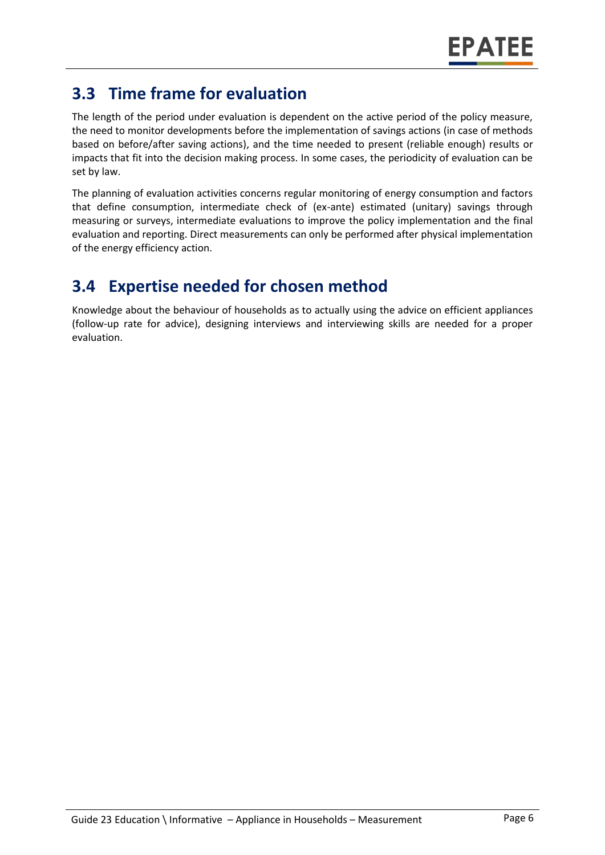## **3.3 Time frame for evaluation**

The length of the period under evaluation is dependent on the active period of the policy measure, the need to monitor developments before the implementation of savings actions (in case of methods based on before/after saving actions), and the time needed to present (reliable enough) results or impacts that fit into the decision making process. In some cases, the periodicity of evaluation can be set by law.

The planning of evaluation activities concerns regular monitoring of energy consumption and factors that define consumption, intermediate check of (ex-ante) estimated (unitary) savings through measuring or surveys, intermediate evaluations to improve the policy implementation and the final evaluation and reporting. Direct measurements can only be performed after physical implementation of the energy efficiency action.

## **3.4 Expertise needed for chosen method**

Knowledge about the behaviour of households as to actually using the advice on efficient appliances (follow-up rate for advice), designing interviews and interviewing skills are needed for a proper evaluation.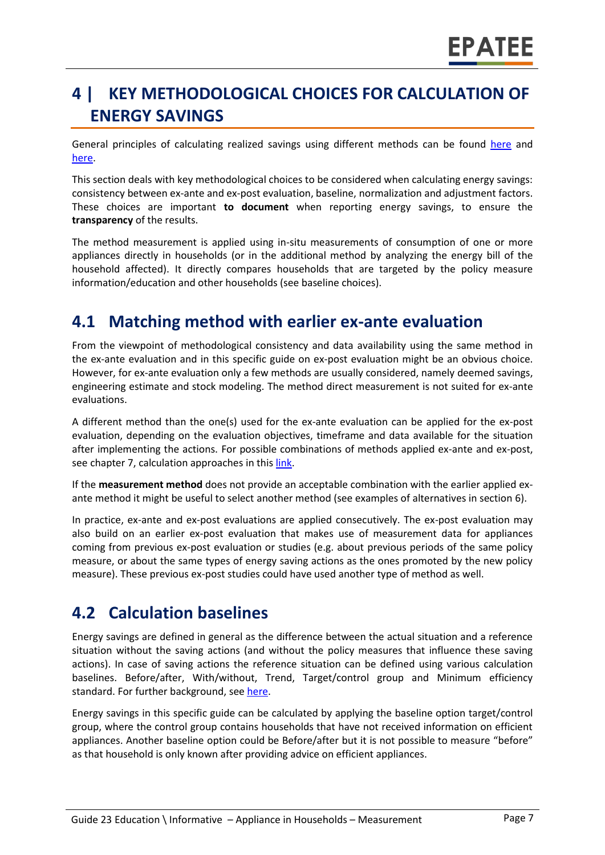## **4 | KEY METHODOLOGICAL CHOICES FOR CALCULATION OF ENERGY SAVINGS**

General principles of calculating realized savings using different methods can be found [here](https://www.epatee-lib.eu/media/docs/D4_EMEEES_Final.pdf) and [here.](https://www.epatee-lib.eu/media/docs/EMEEES_WP3_Report_Final.pdf)

This section deals with key methodological choices to be considered when calculating energy savings: consistency between ex-ante and ex-post evaluation, baseline, normalization and adjustment factors. These choices are important **to document** when reporting energy savings, to ensure the **transparency** of the results.

The method measurement is applied using in-situ measurements of consumption of one or more appliances directly in households (or in the additional method by analyzing the energy bill of the household affected). It directly compares households that are targeted by the policy measure information/education and other households (see baseline choices).

#### **4.1 Matching method with earlier ex-ante evaluation**

From the viewpoint of methodological consistency and data availability using the same method in the ex-ante evaluation and in this specific guide on ex-post evaluation might be an obvious choice. However, for ex-ante evaluation only a few methods are usually considered, namely deemed savings, engineering estimate and stock modeling. The method direct measurement is not suited for ex-ante evaluations.

A different method than the one(s) used for the ex-ante evaluation can be applied for the ex-post evaluation, depending on the evaluation objectives, timeframe and data available for the situation after implementing the actions. For possible combinations of methods applied ex-ante and ex-post, see chapter 7, calculation approaches in this [link.](https://www.epatee-toolbox.eu/wp-content/uploads/2019/04/Saving_calculation_methods_for_EPATEE_Toobox_2019_04_24.pdf)

If the **measurement method** does not provide an acceptable combination with the earlier applied exante method it might be useful to select another method (see examples of alternatives in section [6\)](#page-0-0).

In practice, ex-ante and ex-post evaluations are applied consecutively. The ex-post evaluation may also build on an earlier ex-post evaluation that makes use of measurement data for appliances coming from previous ex-post evaluation or studies (e.g. about previous periods of the same policy measure, or about the same types of energy saving actions as the ones promoted by the new policy measure). These previous ex-post studies could have used another type of method as well.

#### **4.2 Calculation baselines**

Energy savings are defined in general as the difference between the actual situation and a reference situation without the saving actions (and without the policy measures that influence these saving actions). In case of saving actions the reference situation can be defined using various calculation baselines. Before/after, With/without, Trend, Target/control group and Minimum efficiency standard. For further background, see [here.](https://www.epatee-toolbox.eu/wp-content/uploads/2019/04/Application_of_KB_savings_baselines_and_correction_factors_in_the_Toolbox_and_PSMCs_190418_.pdf)

Energy savings in this specific guide can be calculated by applying the baseline option target/control group, where the control group contains households that have not received information on efficient appliances. Another baseline option could be Before/after but it is not possible to measure "before" as that household is only known after providing advice on efficient appliances.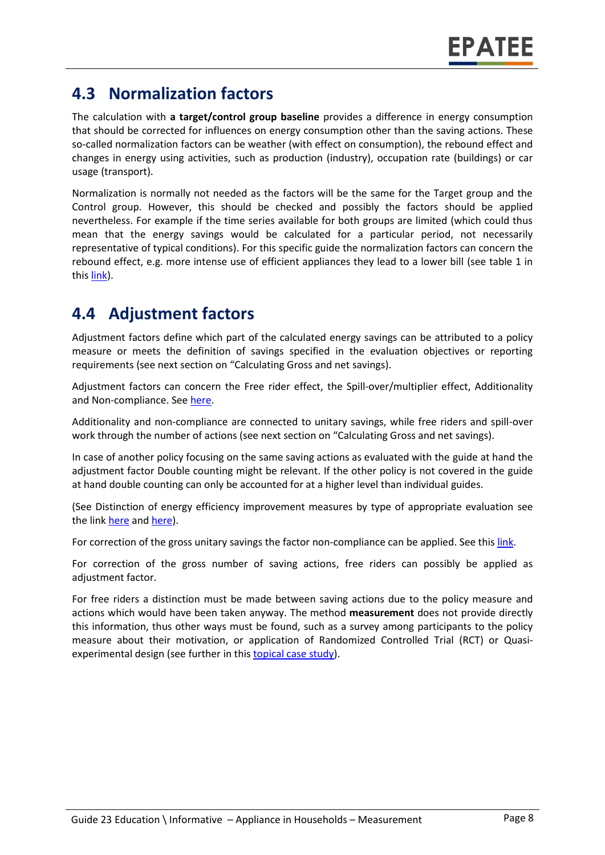### **4.3 Normalization factors**

The calculation with **a target/control group baseline** provides a difference in energy consumption that should be corrected for influences on energy consumption other than the saving actions. These so-called normalization factors can be weather (with effect on consumption), the rebound effect and changes in energy using activities, such as production (industry), occupation rate (buildings) or car usage (transport).

Normalization is normally not needed as the factors will be the same for the Target group and the Control group. However, this should be checked and possibly the factors should be applied nevertheless. For example if the time series available for both groups are limited (which could thus mean that the energy savings would be calculated for a particular period, not necessarily representative of typical conditions). For this specific guide the normalization factors can concern the rebound effect, e.g. more intense use of efficient appliances they lead to a lower bill (see table 1 in thi[s link\)](https://www.epatee-toolbox.eu/wp-content/uploads/2019/04/Saving_calculation_methods_for_EPATEE_Toobox_2019_04_24.pdf).

### **4.4 Adjustment factors**

Adjustment factors define which part of the calculated energy savings can be attributed to a policy measure or meets the definition of savings specified in the evaluation objectives or reporting requirements (see next section on "Calculating Gross and net savings).

Adjustment factors can concern the Free rider effect, the Spill-over/multiplier effect, Additionality and Non-compliance. See [here.](https://www.epatee-toolbox.eu/wp-content/uploads/2019/04/Saving_calculation_methods_for_EPATEE_Toobox_2019_04_24.pdf)

Additionality and non-compliance are connected to unitary savings, while free riders and spill-over work through the number of actions (see next section on "Calculating Gross and net savings).

In case of another policy focusing on the same saving actions as evaluated with the guide at hand the adjustment factor Double counting might be relevant. If the other policy is not covered in the guide at hand double counting can only be accounted for at a higher level than individual guides.

(See Distinction of energy efficiency improvement measures by type of appropriate evaluation see the lin[k here](https://ec.europa.eu/energy/intelligent/projects/sites/iee-projects/files/projects/documents/emeees_project_report_en.pdf) and [here\)](https://www.academia.edu/14979876/Evaluating_energy_efficiency_policy_measures_and_DSM_programmes).

For correction of the gross unitary savings the factor non-compliance can be applied. See thi[s link.](https://www.epatee-toolbox.eu/wp-content/uploads/2019/04/Saving_calculation_methods_for_EPATEE_Toobox_2019_04_24.pdf)

For correction of the gross number of saving actions, free riders can possibly be applied as adjustment factor.

For free riders a distinction must be made between saving actions due to the policy measure and actions which would have been taken anyway. The method **measurement** does not provide directly this information, thus other ways must be found, such as a survey among participants to the policy measure about their motivation, or application of Randomized Controlled Trial (RCT) or Quasiexperimental design (see further in this [topical case study\)](https://www.epatee-toolbox.eu/wp-content/uploads/2018/10/epatee_topical_case_study_evaluating_net_energy_savings.pdf).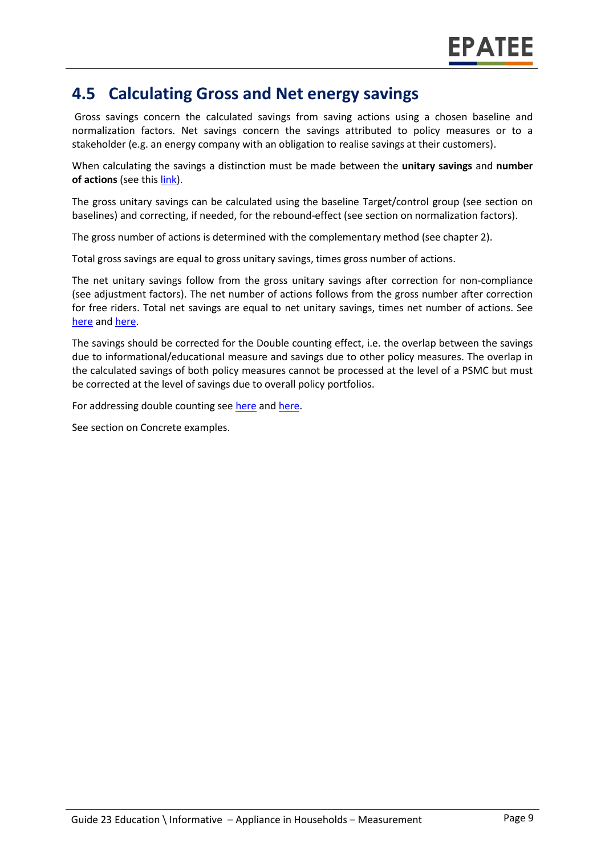#### **4.5 Calculating Gross and Net energy savings**

Gross savings concern the calculated savings from saving actions using a chosen baseline and normalization factors. Net savings concern the savings attributed to policy measures or to a stakeholder (e.g. an energy company with an obligation to realise savings at their customers).

When calculating the savings a distinction must be made between the **unitary savings** and **number of actions** (see this [link\)](https://www.epatee-lib.eu/media/docs/D4_EMEEES_Final.pdf).

The gross unitary savings can be calculated using the baseline Target/control group (see section on baselines) and correcting, if needed, for the rebound-effect (see section on normalization factors).

The gross number of actions is determined with the complementary method (see chapter 2).

Total gross savings are equal to gross unitary savings, times gross number of actions.

The net unitary savings follow from the gross unitary savings after correction for non-compliance (see adjustment factors). The net number of actions follows from the gross number after correction for free riders. Total net savings are equal to net unitary savings, times net number of actions. See [here](https://ec.europa.eu/energy/intelligent/projects/sites/iee-projects/files/projects/documents/emeees_project_report_en.pdf) and [here.](https://www.academia.edu/14979876/Evaluating_energy_efficiency_policy_measures_and_DSM_programmes)

The savings should be corrected for the Double counting effect, i.e. the overlap between the savings due to informational/educational measure and savings due to other policy measures. The overlap in the calculated savings of both policy measures cannot be processed at the level of a PSMC but must be corrected at the level of savings due to overall policy portfolios.

For addressing double counting see [here](https://www.academia.edu/14979876/Evaluating_energy_efficiency_policy_measures_and_DSM_programmes) and [here.](https://ec.europa.eu/energy/intelligent/projects/sites/iee-projects/files/projects/documents/emeees_project_report_en.pdf)

See section on Concrete examples.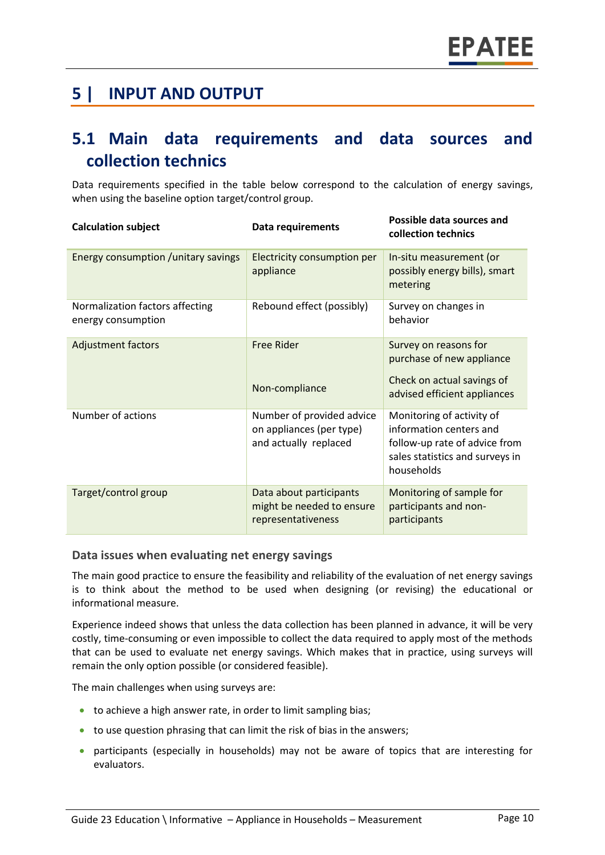### **5 | INPUT AND OUTPUT**

### **5.1 Main data requirements and data sources and collection technics**

Data requirements specified in the table below correspond to the calculation of energy savings, when using the baseline option target/control group.

| <b>Calculation subject</b>                            | Data requirements                                                              | Possible data sources and<br>collection technics                                                                                       |
|-------------------------------------------------------|--------------------------------------------------------------------------------|----------------------------------------------------------------------------------------------------------------------------------------|
| Energy consumption / unitary savings                  | Electricity consumption per<br>appliance                                       | In-situ measurement (or<br>possibly energy bills), smart<br>metering                                                                   |
| Normalization factors affecting<br>energy consumption | Rebound effect (possibly)                                                      | Survey on changes in<br>behavior                                                                                                       |
| <b>Adjustment factors</b>                             | <b>Free Rider</b>                                                              | Survey on reasons for<br>purchase of new appliance                                                                                     |
|                                                       | Non-compliance                                                                 | Check on actual savings of<br>advised efficient appliances                                                                             |
| Number of actions                                     | Number of provided advice<br>on appliances (per type)<br>and actually replaced | Monitoring of activity of<br>information centers and<br>follow-up rate of advice from<br>sales statistics and surveys in<br>households |
| Target/control group                                  | Data about participants<br>might be needed to ensure<br>representativeness     | Monitoring of sample for<br>participants and non-<br>participants                                                                      |

#### **Data issues when evaluating net energy savings**

The main good practice to ensure the feasibility and reliability of the evaluation of net energy savings is to think about the method to be used when designing (or revising) the educational or informational measure.

Experience indeed shows that unless the data collection has been planned in advance, it will be very costly, time-consuming or even impossible to collect the data required to apply most of the methods that can be used to evaluate net energy savings. Which makes that in practice, using surveys will remain the only option possible (or considered feasible).

The main challenges when using surveys are:

- to achieve a high answer rate, in order to limit sampling bias;
- to use question phrasing that can limit the risk of bias in the answers;
- participants (especially in households) may not be aware of topics that are interesting for evaluators.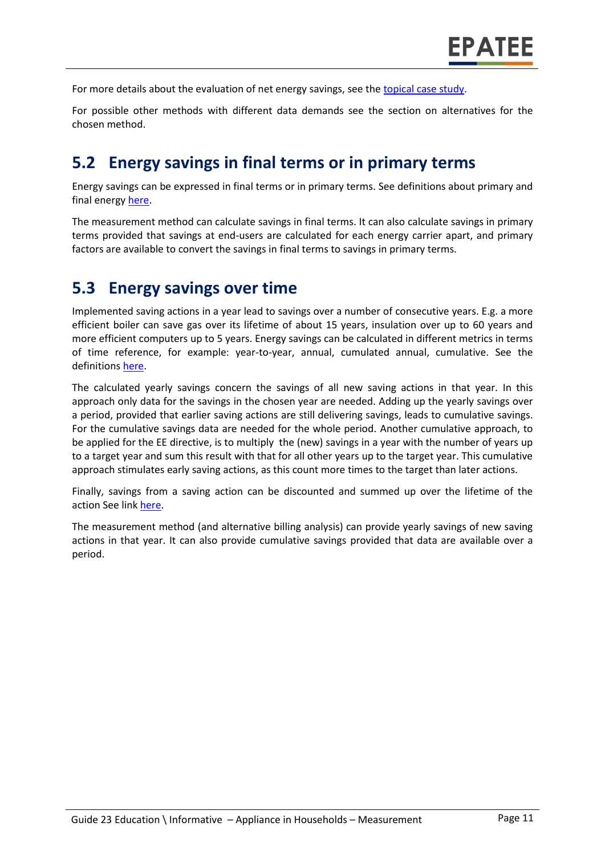For more details about the evaluation of net energy savings, see the [topical case study.](https://www.epatee-toolbox.eu/wp-content/uploads/2018/10/epatee_topical_case_study_evaluating_net_energy_savings.pdf)

For possible other methods with different data demands see the section on alternatives for the chosen method.

#### **5.2 Energy savings in final terms or in primary terms**

Energy savings can be expressed in final terms or in primary terms. See definitions about primary and final energy [here.](https://www.epatee-toolbox.eu/wp-content/uploads/2018/10/Definitions-and-typologies-related-to-energy-savings-evaluation.pdf)

The measurement method can calculate savings in final terms. It can also calculate savings in primary terms provided that savings at end-users are calculated for each energy carrier apart, and primary factors are available to convert the savings in final terms to savings in primary terms.

#### **5.3 Energy savings over time**

Implemented saving actions in a year lead to savings over a number of consecutive years. E.g. a more efficient boiler can save gas over its lifetime of about 15 years, insulation over up to 60 years and more efficient computers up to 5 years. Energy savings can be calculated in different metrics in terms of time reference, for example: year-to-year, annual, cumulated annual, cumulative. See the definitions [here.](https://www.epatee-toolbox.eu/wp-content/uploads/2018/10/Definitions-and-typologies-related-to-energy-savings-evaluation.pdf)

The calculated yearly savings concern the savings of all new saving actions in that year. In this approach only data for the savings in the chosen year are needed. Adding up the yearly savings over a period, provided that earlier saving actions are still delivering savings, leads to cumulative savings. For the cumulative savings data are needed for the whole period. Another cumulative approach, to be applied for the EE directive, is to multiply the (new) savings in a year with the number of years up to a target year and sum this result with that for all other years up to the target year. This cumulative approach stimulates early saving actions, as this count more times to the target than later actions.

Finally, savings from a saving action can be discounted and summed up over the lifetime of the action See link [here.](https://www.epatee-toolbox.eu/wp-content/uploads/2018/10/Definitions-and-typologies-related-to-energy-savings-evaluation.pdf)

The measurement method (and alternative billing analysis) can provide yearly savings of new saving actions in that year. It can also provide cumulative savings provided that data are available over a period.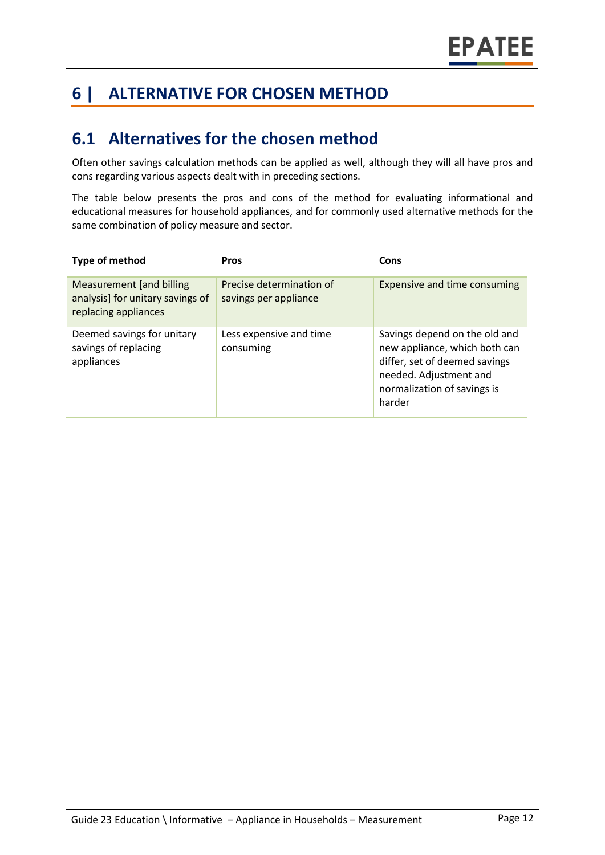## **6 | ALTERNATIVE FOR CHOSEN METHOD**

#### **6.1 Alternatives for the chosen method**

Often other savings calculation methods can be applied as well, although they will all have pros and cons regarding various aspects dealt with in preceding sections.

The table below presents the pros and cons of the method for evaluating informational and educational measures for household appliances, and for commonly used alternative methods for the same combination of policy measure and sector.

| Type of method                                                                              | <b>Pros</b>                                       | Cons                                                                                                                                                               |
|---------------------------------------------------------------------------------------------|---------------------------------------------------|--------------------------------------------------------------------------------------------------------------------------------------------------------------------|
| <b>Measurement</b> [and billing<br>analysis] for unitary savings of<br>replacing appliances | Precise determination of<br>savings per appliance | <b>Expensive and time consuming</b>                                                                                                                                |
| Deemed savings for unitary<br>savings of replacing<br>appliances                            | Less expensive and time<br>consuming              | Savings depend on the old and<br>new appliance, which both can<br>differ, set of deemed savings<br>needed. Adjustment and<br>normalization of savings is<br>harder |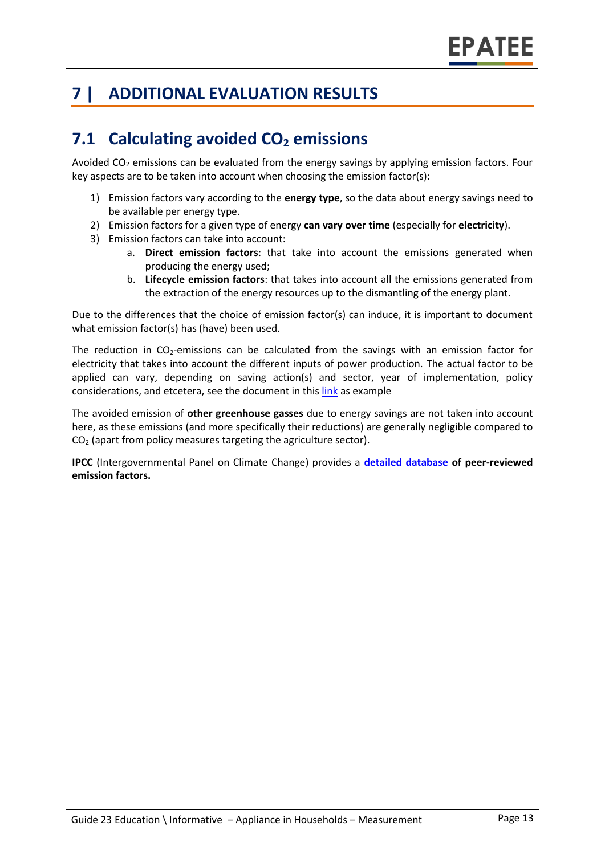## **7 | ADDITIONAL EVALUATION RESULTS**

## **7.1 Calculating avoided CO<sup>2</sup> emissions**

Avoided  $CO<sub>2</sub>$  emissions can be evaluated from the energy savings by applying emission factors. Four key aspects are to be taken into account when choosing the emission factor(s):

- 1) Emission factors vary according to the **energy type**, so the data about energy savings need to be available per energy type.
- 2) Emission factors for a given type of energy **can vary over time** (especially for **electricity**).
- 3) Emission factors can take into account:
	- a. **Direct emission factors**: that take into account the emissions generated when producing the energy used;
	- b. **Lifecycle emission factors**: that takes into account all the emissions generated from the extraction of the energy resources up to the dismantling of the energy plant.

Due to the differences that the choice of emission factor(s) can induce, it is important to document what emission factor(s) has (have) been used.

The reduction in CO<sub>2</sub>-emissions can be calculated from the savings with an emission factor for electricity that takes into account the different inputs of power production. The actual factor to be applied can vary, depending on saving action(s) and sector, year of implementation, policy considerations, and etcetera, see the document in thi[s link](https://www.researchgate.net/publication/222601305_Evaluation_of_methods_used_to_determine_realized_energy_savings) as example

The avoided emission of **other greenhouse gasses** due to energy savings are not taken into account here, as these emissions (and more specifically their reductions) are generally negligible compared to  $CO<sub>2</sub>$  (apart from policy measures targeting the agriculture sector).

**IPCC** (Intergovernmental Panel on Climate Change) provides a **[detailed database](https://www.ipcc-nggip.iges.or.jp/EFDB/main.php) of peer-reviewed emission factors.**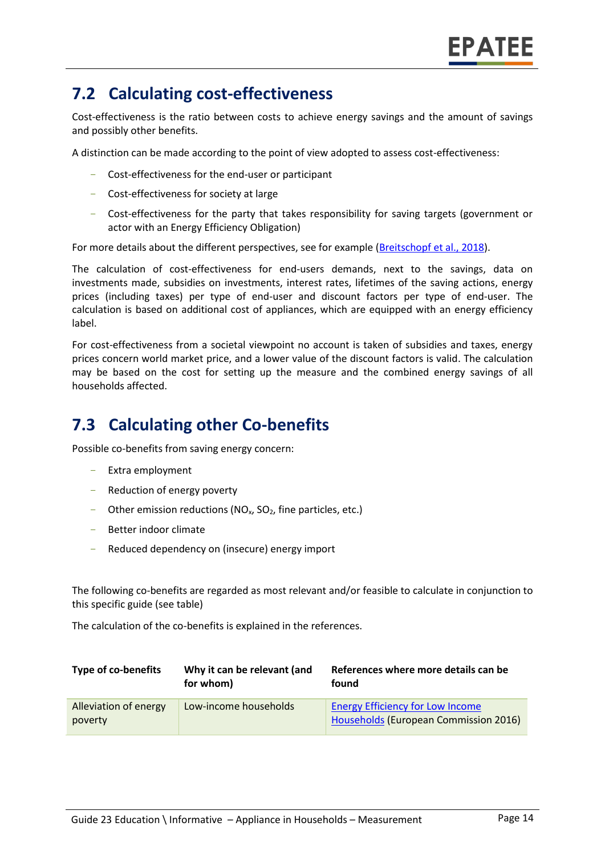## **7.2 Calculating cost-effectiveness**

Cost-effectiveness is the ratio between costs to achieve energy savings and the amount of savings and possibly other benefits.

A distinction can be made according to the point of view adopted to assess cost-effectiveness:

- Cost-effectiveness for the end-user or participant
- Cost-effectiveness for society at large
- Cost-effectiveness for the party that takes responsibility for saving targets (government or actor with an Energy Efficiency Obligation)

For more details about the different perspectives, see for example [\(Breitschopf](https://epatee.eu/system/tdf/epatee_report_on_the_knowledge_base.pdf?file=1&type=node&id=29&force=1) et al., 2018).

The calculation of cost-effectiveness for end-users demands, next to the savings, data on investments made, subsidies on investments, interest rates, lifetimes of the saving actions, energy prices (including taxes) per type of end-user and discount factors per type of end-user. The calculation is based on additional cost of appliances, which are equipped with an energy efficiency label.

For cost-effectiveness from a societal viewpoint no account is taken of subsidies and taxes, energy prices concern world market price, and a lower value of the discount factors is valid. The calculation may be based on the cost for setting up the measure and the combined energy savings of all households affected.

### **7.3 Calculating other Co-benefits**

Possible co-benefits from saving energy concern:

- Extra employment
- Reduction of energy poverty
- Other emission reductions ( $NO<sub>x</sub>$ ,  $SO<sub>2</sub>$ , fine particles, etc.)
- Better indoor climate
- Reduced dependency on (insecure) energy import

The following co-benefits are regarded as most relevant and/or feasible to calculate in conjunction to this specific guide (see table)

The calculation of the co-benefits is explained in the references.

| <b>Type of co-benefits</b>       | Why it can be relevant (and<br>for whom) | References where more details can be<br>found                                    |
|----------------------------------|------------------------------------------|----------------------------------------------------------------------------------|
| Alleviation of energy<br>poverty | Low-income households                    | <b>Energy Efficiency for Low Income</b><br>Households (European Commission 2016) |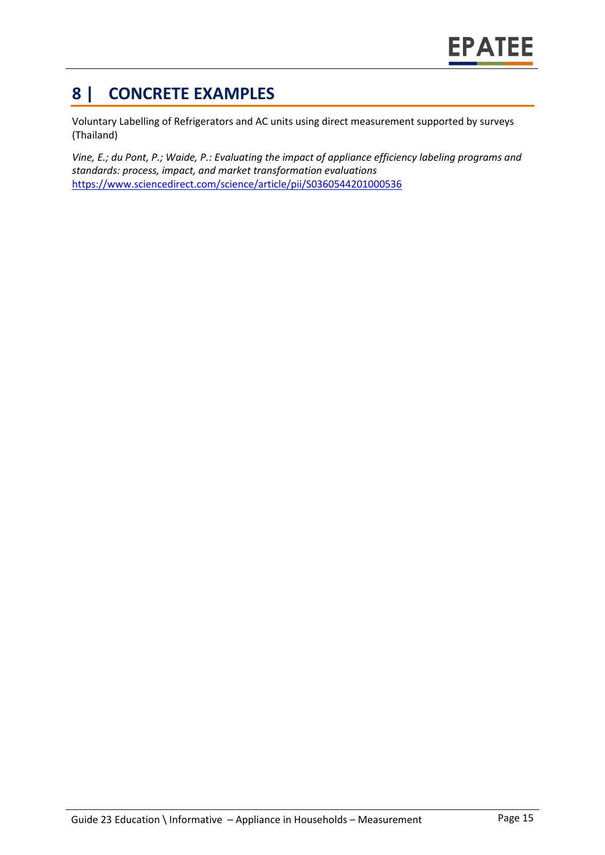## **8 | CONCRETE EXAMPLES**

Voluntary Labelling of Refrigerators and AC units using direct measurement supported by surveys (Thailand)

*Vine, E.; du Pont, P.; Waide, P.: Evaluating the impact of appliance efficiency labeling programs and standards: process, impact, and market transformation evaluations*  <https://www.sciencedirect.com/science/article/pii/S0360544201000536>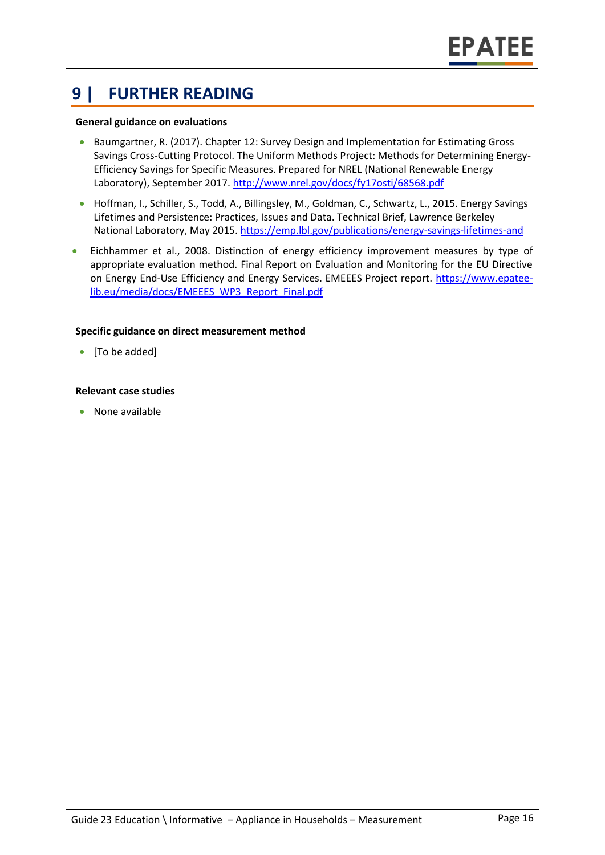### **9 | FURTHER READING**

#### **General guidance on evaluations**

- Baumgartner, R. (2017). Chapter 12: Survey Design and Implementation for Estimating Gross Savings Cross-Cutting Protocol. The Uniform Methods Project: Methods for Determining Energy-Efficiency Savings for Specific Measures. Prepared for NREL (National Renewable Energy Laboratory), September 2017.<http://www.nrel.gov/docs/fy17osti/68568.pdf>
- Hoffman, I., Schiller, S., Todd, A., Billingsley, M., Goldman, C., Schwartz, L., 2015. Energy Savings Lifetimes and Persistence: Practices, Issues and Data. Technical Brief, Lawrence Berkeley National Laboratory, May 2015[. https://emp.lbl.gov/publications/energy-savings-lifetimes-and](https://emp.lbl.gov/publications/energy-savings-lifetimes-and)
- Eichhammer et al., 2008. Distinction of energy efficiency improvement measures by type of appropriate evaluation method. Final Report on Evaluation and Monitoring for the EU Directive on Energy End-Use Efficiency and Energy Services. EMEEES Project report. [https://www.epatee](https://www.epatee-lib.eu/media/docs/EMEEES_WP3_Report_Final.pdf)[lib.eu/media/docs/EMEEES\\_WP3\\_Report\\_Final.pdf](https://www.epatee-lib.eu/media/docs/EMEEES_WP3_Report_Final.pdf)

#### **Specific guidance on direct measurement method**

• [To be added]

#### **Relevant case studies**

• None available